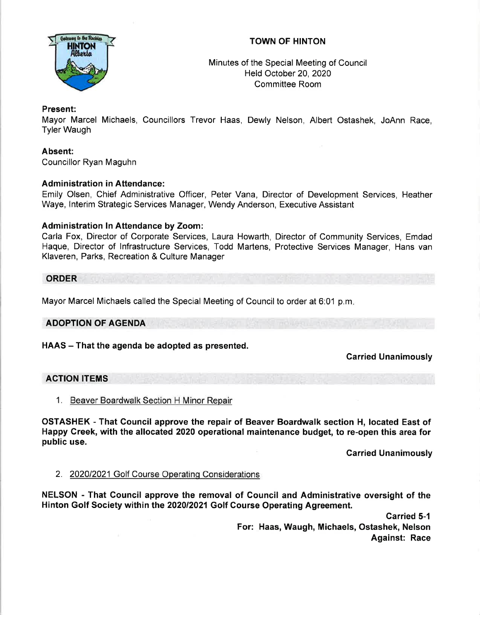# TOWN OF HINTON



Minutes of the Special Meeting of Council Held October 20,2020 Committee Room

## Present:

Mayor Marcel Michaels, Councillors Trevor Haas, Dewly Nelson, Albert Ostashek, JoAnn Race, Tyler Waugh

### Absent:

Councillor Ryan Maguhn

### **Administration in Attendance:**

Emily Olsen, Chief Administrative Officer, Peter Vana, Director of Development Services, Heather Waye, lnterim Strategic Services Manager, Wendy Anderson, Executive Assistant

### Administration In Attendance by Zoom:

Carla Fox, Director of Corporate Services, Laura Howarth, Director of Community Services, Emdad Haque, Director of lnfrastructure Services, Todd Martens, Protective Services Manager, Hans van Klaveren, Parks, Recreation & Culture Manager

**ORDER** 

Mayor Marcel Michaels called the Special Meeting of Council to order at 6:01 p.m

#### ADOPTION OF AGENDA

HAAS - That the agenda be adopted as presented.

## Garried Unanimously

## ACTION ITEMS

#### 1. Beaver Boardwalk Section H Minor Repair

OSTASHEK - That Council approve the repair of Beaver Boardwalk section H, located East of Happy Creek, with the allocated 2020 operational maintenance budget, to re-open this area for public use.

Carried Unanimously

#### 2. 2020/2021 Golf Course Operatinq Considerations

NELSON - That Gouncil approve the removal of Council and Administrative oversight of the Hinton Golf Society within the 202012021 Golf Gourse Operating Agreement.

> Garried 5-1 For: Haas, Waugh, Michaels, Ostashek, Nelson Against: Race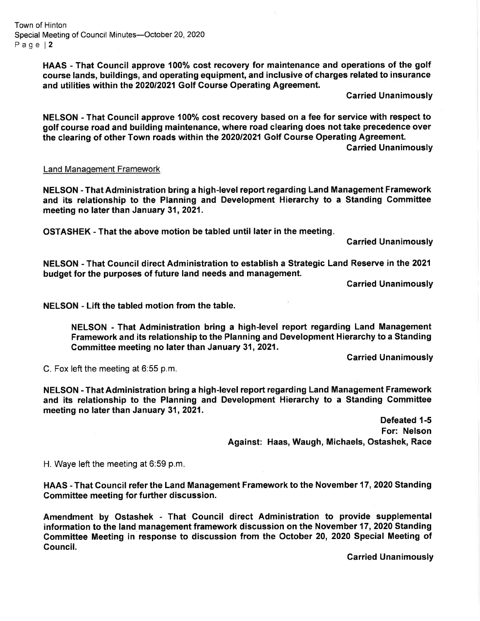Town of Hinton Special Meeting of Council Minutes-October 20, 2020 Page l2

> HAAS - That Council approve 100% cost recovery for maintenance and operations of the golf course lands, buildings, and operating equipment, and inclusive of charges related to insurance and utilities within the 2020/2021 Golf Course Operating Agreement.

> > Garried Unanimously

NELSON - That Council approve 100% cost recovery based on a fee for service with respect to golf course road and building maintenance, where road clearing does not take precedence over the clearing of other Town roads within the 202012021 Golf Gourse Operating Agreement.

Carried Unanimously

#### Land Manaqement Framework

NELSON - That Administration bring a high-level report regarding Land Management Framework and its relationship to the Planning and Development Hierarchy to a Standing Committee meeting no later than January 31, 2021.

OSTASHEK - That the above motion be tabled until later in the meeting

Carried Unanimously

NELSON - That Gouncil direct Administration to establish a Strategic Land Reserve in the 2021 budget for the purposes of future land needs and management.

Garried Unanimously

NELSON - Lift the tabled motion from the table.

NELSON - That Administration bring a high-level report regarding Land Management Framework and its relationship to the Planning and Development Hierarchy to a Standing Committee meeting no later than January 31, 2021.

Garried Unanimously

C. Fox left the meeting at 6:55 p.m.

NELSON - That Administration bring a high-level report regarding Land Management Framework and its relationship to the Planning and Development Hierarchy to a Standing Committee meeting no later than January 31, 2021.

> Defeated 1-5 For: Nelson Against: Haas, Waugh, Michaels, Ostashek, Race

H. Waye left the meeting at 6:59 p.m

HAAS - That Council refer the Land Management Framework to the November 17,2020 Standing Committee meeting for further discussion.

Amendment by Ostashek - That Gouncil direct Administration to provide supplemental information to the land management framework discussion on the November 17, 2020 Standing Committee Meeting in response to discussion from the October 20, 2020 Special Meeting of Council.

Garried Unanimously